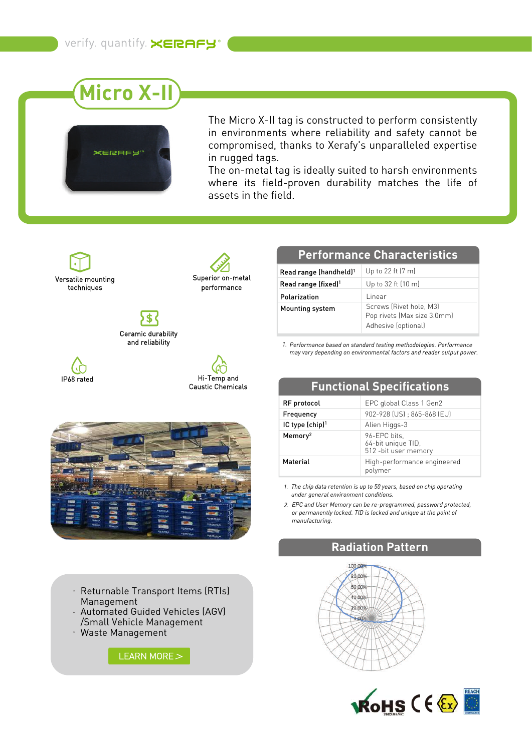



The Micro X-II tag is constructed to perform consistently in environments where reliability and safety cannot be compromised, thanks to Xerafy's unparalleled expertise in rugged tags.

The on-metal tag is ideally suited to harsh environments where its field-proven durability matches the life of assets in the field.

Versatile mounting techniques



Ceramic durability and reliability

IP68 rated





- Returnable Transport Items (RTIs) Management
- Automated Guided Vehicles (AGV) /Small Vehicle Management
- Waste Management



#### **Performance Characteristics**

| Read range (handheld) <sup>1</sup> | Up to 22 ft (7 m)                                                             |
|------------------------------------|-------------------------------------------------------------------------------|
| Read range (fixed) <sup>1</sup>    | Up to $32$ ft $(10 \text{ m})$                                                |
| Polarization                       | l inear                                                                       |
| Mounting system                    | Screws (Rivet hole, M3)<br>Pop rivets (Max size 3.0mm)<br>Adhesive (optional) |

*Performance based on standard testing methodologies. Performance 1. may vary depending on environmental factors and reader output power.*

| <u>ili-terrib anu</u><br><b>Caustic Chemicals</b> |                             | <b>Functional Specifications</b>                            |  |
|---------------------------------------------------|-----------------------------|-------------------------------------------------------------|--|
|                                                   | RF protocol                 | EPC global Class 1 Gen2                                     |  |
|                                                   | Frequency                   | 902-928 (US) ; 865-868 (EU)                                 |  |
|                                                   | IC type (chip) <sup>1</sup> | Alien Higgs-3                                               |  |
|                                                   | Memory <sup>2</sup>         | 96-EPC bits,<br>64-bit unique TID,<br>512 - bit user memory |  |
|                                                   | Material                    | High-performance engineered<br>polymer                      |  |

*The chip data retention is up to 50 years, based on chip operating 1. under general environment conditions.*

*EPC and User Memory can be re-programmed, password protected, 2.or permanently locked. TID is locked and unique at the point of manufacturing.*

## **Radiation Pattern**